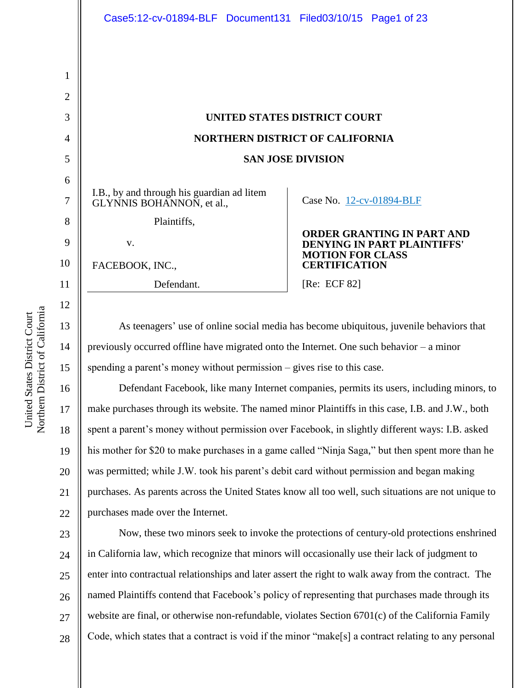11

12

13

14

15

16

17

18

19

20

21

22

1

|                                                                         | UNITED STATES DISTRICT COURT<br><b>NORTHERN DISTRICT OF CALIFORNIA</b>  |  |
|-------------------------------------------------------------------------|-------------------------------------------------------------------------|--|
| <b>SAN JOSE DIVISION</b>                                                |                                                                         |  |
| I.B., by and through his guardian ad litem<br>GLYNNIS BOHANNON, et al., | Case No. 12-cv-01894-BLF                                                |  |
| Plaintiffs,                                                             |                                                                         |  |
| V.                                                                      | <b>ORDER GRANTING IN PART AND</b><br><b>DENYING IN PART PLAINTIFFS'</b> |  |
| FACEBOOK, INC.,                                                         | <b>MOTION FOR CLASS</b><br><b>CERTIFICATION</b>                         |  |
| Defendant.                                                              | [Re: ECF 82]                                                            |  |
|                                                                         |                                                                         |  |

As teenagers' use of online social media has become ubiquitous, juvenile behaviors that previously occurred offline have migrated onto the Internet. One such behavior – a minor spending a parent's money without permission – gives rise to this case.

Defendant Facebook, like many Internet companies, permits its users, including minors, to make purchases through its website. The named minor Plaintiffs in this case, I.B. and J.W., both spent a parent's money without permission over Facebook, in slightly different ways: I.B. asked his mother for \$20 to make purchases in a game called "Ninja Saga," but then spent more than he was permitted; while J.W. took his parent's debit card without permission and began making purchases. As parents across the United States know all too well, such situations are not unique to purchases made over the Internet.

23 24 25 26 27 28 Now, these two minors seek to invoke the protections of century-old protections enshrined in California law, which recognize that minors will occasionally use their lack of judgment to enter into contractual relationships and later assert the right to walk away from the contract. The named Plaintiffs contend that Facebook's policy of representing that purchases made through its website are final, or otherwise non-refundable, violates Section 6701(c) of the California Family Code, which states that a contract is void if the minor "make[s] a contract relating to any personal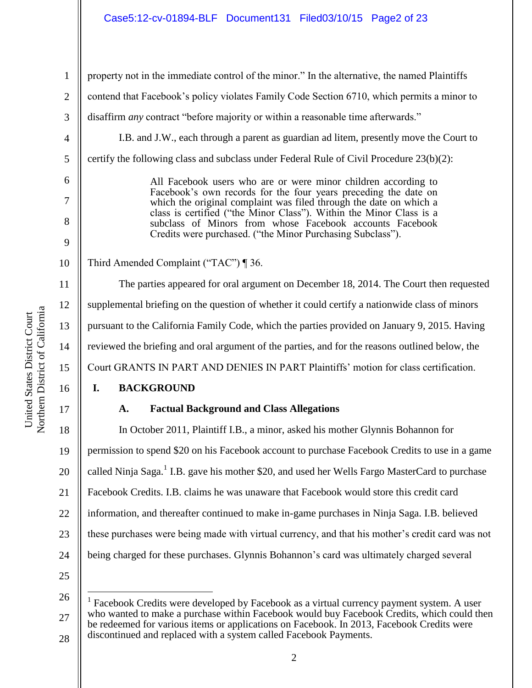## Case5:12-cv-01894-BLF Document131 Filed03/10/15 Page2 of 23

1 2 3 4 5 6 7 8 9 10 11 12 13 14 15 16 17 18 19 20 21 22 23 24 property not in the immediate control of the minor." In the alternative, the named Plaintiffs contend that Facebook's policy violates Family Code Section 6710, which permits a minor to disaffirm *any* contract "before majority or within a reasonable time afterwards." I.B. and J.W., each through a parent as guardian ad litem, presently move the Court to certify the following class and subclass under Federal Rule of Civil Procedure 23(b)(2): All Facebook users who are or were minor children according to Facebook's own records for the four years preceding the date on which the original complaint was filed through the date on which a class is certified ("the Minor Class"). Within the Minor Class is a subclass of Minors from whose Facebook accounts Facebook Credits were purchased. ("the Minor Purchasing Subclass"). Third Amended Complaint ("TAC") ¶ 36. The parties appeared for oral argument on December 18, 2014. The Court then requested supplemental briefing on the question of whether it could certify a nationwide class of minors pursuant to the California Family Code, which the parties provided on January 9, 2015. Having reviewed the briefing and oral argument of the parties, and for the reasons outlined below, the Court GRANTS IN PART AND DENIES IN PART Plaintiffs' motion for class certification. **I. BACKGROUND A. Factual Background and Class Allegations** In October 2011, Plaintiff I.B., a minor, asked his mother Glynnis Bohannon for permission to spend \$20 on his Facebook account to purchase Facebook Credits to use in a game called Ninja Saga.<sup>1</sup> I.B. gave his mother \$20, and used her Wells Fargo MasterCard to purchase Facebook Credits. I.B. claims he was unaware that Facebook would store this credit card information, and thereafter continued to make in-game purchases in Ninja Saga. I.B. believed these purchases were being made with virtual currency, and that his mother's credit card was not being charged for these purchases. Glynnis Bohannon's card was ultimately charged several

25

 $\overline{a}$ 

Northern District of California Northern District of California United States District Court United States District Court

<sup>26</sup> 27 28 1 Facebook Credits were developed by Facebook as a virtual currency payment system. A user who wanted to make a purchase within Facebook would buy Facebook Credits, which could then be redeemed for various items or applications on Facebook. In 2013, Facebook Credits were discontinued and replaced with a system called Facebook Payments.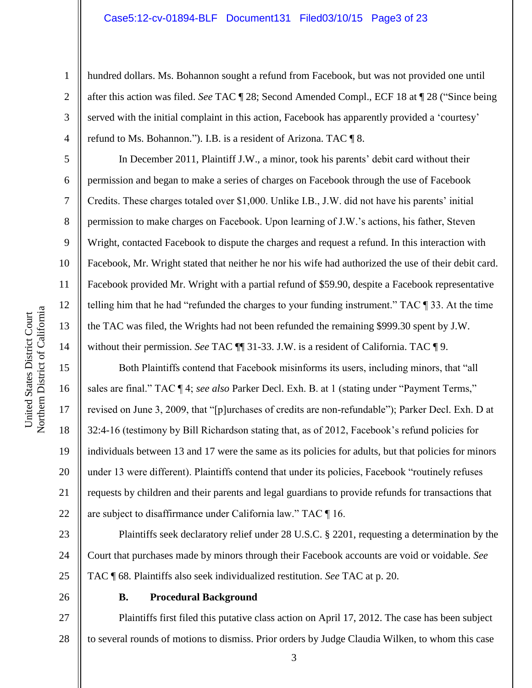## Case5:12-cv-01894-BLF Document131 Filed03/10/15 Page3 of 23

hundred dollars. Ms. Bohannon sought a refund from Facebook, but was not provided one until after this action was filed. *See* TAC ¶ 28; Second Amended Compl., ECF 18 at ¶ 28 ("Since being served with the initial complaint in this action, Facebook has apparently provided a 'courtesy' refund to Ms. Bohannon."). I.B. is a resident of Arizona. TAC ¶ 8.

In December 2011, Plaintiff J.W., a minor, took his parents' debit card without their permission and began to make a series of charges on Facebook through the use of Facebook Credits. These charges totaled over \$1,000. Unlike I.B., J.W. did not have his parents' initial permission to make charges on Facebook. Upon learning of J.W.'s actions, his father, Steven Wright, contacted Facebook to dispute the charges and request a refund. In this interaction with Facebook, Mr. Wright stated that neither he nor his wife had authorized the use of their debit card. Facebook provided Mr. Wright with a partial refund of \$59.90, despite a Facebook representative telling him that he had "refunded the charges to your funding instrument." TAC ¶ 33. At the time the TAC was filed, the Wrights had not been refunded the remaining \$999.30 spent by J.W. without their permission. *See* TAC  $\P$  31-33. J.W. is a resident of California. TAC  $\P$  9.

Both Plaintiffs contend that Facebook misinforms its users, including minors, that "all sales are final." TAC ¶ 4; *see also* Parker Decl. Exh. B. at 1 (stating under "Payment Terms," revised on June 3, 2009, that "[p]urchases of credits are non-refundable"); Parker Decl. Exh. D at 32:4-16 (testimony by Bill Richardson stating that, as of 2012, Facebook's refund policies for individuals between 13 and 17 were the same as its policies for adults, but that policies for minors under 13 were different). Plaintiffs contend that under its policies, Facebook "routinely refuses requests by children and their parents and legal guardians to provide refunds for transactions that are subject to disaffirmance under California law." TAC ¶ 16.

23 24 25 Plaintiffs seek declaratory relief under 28 U.S.C. § 2201, requesting a determination by the Court that purchases made by minors through their Facebook accounts are void or voidable. *See* TAC ¶ 68. Plaintiffs also seek individualized restitution. *See* TAC at p. 20.

26

## **B. Procedural Background**

27 28 Plaintiffs first filed this putative class action on April 17, 2012. The case has been subject to several rounds of motions to dismiss. Prior orders by Judge Claudia Wilken, to whom this case

1

2

3

4

5

6

7

8

9

10

11

12

13

14

15

16

17

18

19

20

21

22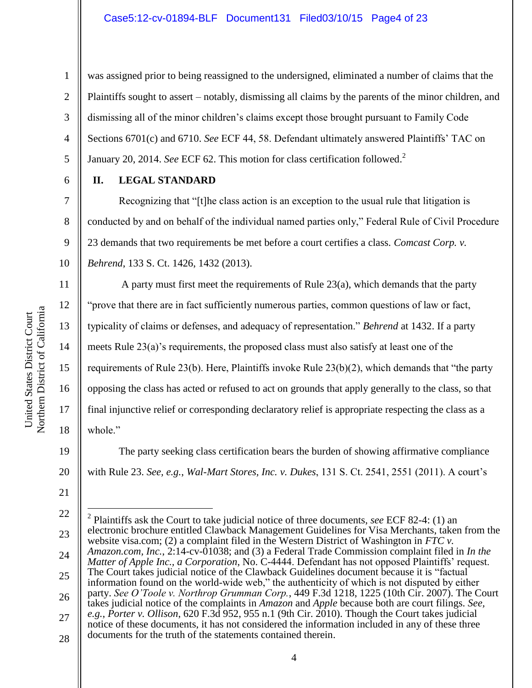was assigned prior to being reassigned to the undersigned, eliminated a number of claims that the Plaintiffs sought to assert – notably, dismissing all claims by the parents of the minor children, and dismissing all of the minor children's claims except those brought pursuant to Family Code Sections 6701(c) and 6710. *See* ECF 44, 58. Defendant ultimately answered Plaintiffs' TAC on January 20, 2014. *See* ECF 62. This motion for class certification followed.<sup>2</sup>

## **II. LEGAL STANDARD**

Recognizing that "[t]he class action is an exception to the usual rule that litigation is conducted by and on behalf of the individual named parties only," Federal Rule of Civil Procedure 23 demands that two requirements be met before a court certifies a class. *Comcast Corp. v. Behrend*, 133 S. Ct. 1426, 1432 (2013).

A party must first meet the requirements of Rule  $23(a)$ , which demands that the party "prove that there are in fact sufficiently numerous parties, common questions of law or fact, typicality of claims or defenses, and adequacy of representation." *Behrend* at 1432. If a party meets Rule 23(a)'s requirements, the proposed class must also satisfy at least one of the requirements of Rule 23(b). Here, Plaintiffs invoke Rule 23(b)(2), which demands that "the party opposing the class has acted or refused to act on grounds that apply generally to the class, so that final injunctive relief or corresponding declaratory relief is appropriate respecting the class as a whole."

The party seeking class certification bears the burden of showing affirmative compliance with Rule 23. *See, e.g.*, *Wal-Mart Stores, Inc. v. Dukes*, 131 S. Ct. 2541, 2551 (2011). A court's

1

2

3

4

5

6

7

8

9

10

11

12

13

14

15

16

17

18

19

20

21

<sup>22</sup> 23 24 25 26 27 28  $\overline{a}$ 2 Plaintiffs ask the Court to take judicial notice of three documents, *see* ECF 82-4: (1) an electronic brochure entitled Clawback Management Guidelines for Visa Merchants, taken from the website visa.com; (2) a complaint filed in the Western District of Washington in *FTC v. Amazon.com, Inc.*, 2:14-cv-01038; and (3) a Federal Trade Commission complaint filed in *In the Matter of Apple Inc., a Corporation*, No. C-4444. Defendant has not opposed Plaintiffs' request. The Court takes judicial notice of the Clawback Guidelines document because it is "factual information found on the world-wide web," the authenticity of which is not disputed by either party. *See O'Toole v. Northrop Grumman Corp.*, 449 F.3d 1218, 1225 (10th Cir. 2007). The Court takes judicial notice of the complaints in *Amazon* and *Apple* because both are court filings. *See, e.g.*, *Porter v. Ollison*, 620 F.3d 952, 955 n.1 (9th Cir. 2010). Though the Court takes judicial notice of these documents, it has not considered the information included in any of these three documents for the truth of the statements contained therein.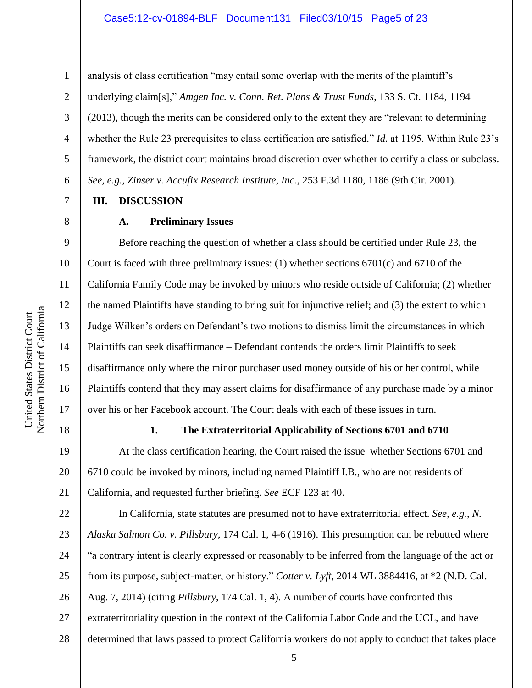## Case5:12-cv-01894-BLF Document131 Filed03/10/15 Page5 of 23

analysis of class certification "may entail some overlap with the merits of the plaintiff's underlying claim[s]," *Amgen Inc. v. Conn. Ret. Plans & Trust Funds*, 133 S. Ct. 1184, 1194 (2013), though the merits can be considered only to the extent they are "relevant to determining whether the Rule 23 prerequisites to class certification are satisfied." *Id.* at 1195. Within Rule 23's framework, the district court maintains broad discretion over whether to certify a class or subclass. *See, e.g.*, *Zinser v. Accufix Research Institute, Inc.*, 253 F.3d 1180, 1186 (9th Cir. 2001).

## **III. DISCUSSION**

#### **A. Preliminary Issues**

Before reaching the question of whether a class should be certified under Rule 23, the Court is faced with three preliminary issues: (1) whether sections 6701(c) and 6710 of the California Family Code may be invoked by minors who reside outside of California; (2) whether the named Plaintiffs have standing to bring suit for injunctive relief; and (3) the extent to which Judge Wilken's orders on Defendant's two motions to dismiss limit the circumstances in which Plaintiffs can seek disaffirmance – Defendant contends the orders limit Plaintiffs to seek disaffirmance only where the minor purchaser used money outside of his or her control, while Plaintiffs contend that they may assert claims for disaffirmance of any purchase made by a minor over his or her Facebook account. The Court deals with each of these issues in turn.

18

17

1

2

3

4

5

6

7

8

9

10

11

12

13

14

15

16

## **1. The Extraterritorial Applicability of Sections 6701 and 6710**

19 20 21 At the class certification hearing, the Court raised the issue whether Sections 6701 and 6710 could be invoked by minors, including named Plaintiff I.B., who are not residents of California, and requested further briefing. *See* ECF 123 at 40.

22 23 24 25 26 27 28 In California, state statutes are presumed not to have extraterritorial effect. *See, e.g.*, *N. Alaska Salmon Co. v. Pillsbury*, 174 Cal. 1, 4-6 (1916). This presumption can be rebutted where "a contrary intent is clearly expressed or reasonably to be inferred from the language of the act or from its purpose, subject-matter, or history." *Cotter v. Lyft*, 2014 WL 3884416, at \*2 (N.D. Cal. Aug. 7, 2014) (citing *Pillsbury*, 174 Cal. 1, 4). A number of courts have confronted this extraterritoriality question in the context of the California Labor Code and the UCL, and have determined that laws passed to protect California workers do not apply to conduct that takes place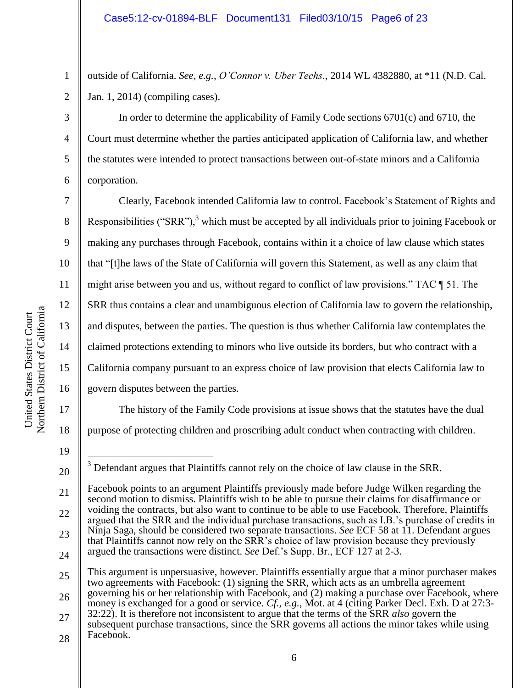outside of California. *See, e.g.*, *O'Connor v. Uber Techs.*, 2014 WL 4382880, at \*11 (N.D. Cal. Jan. 1, 2014) (compiling cases).

In order to determine the applicability of Family Code sections 6701(c) and 6710, the Court must determine whether the parties anticipated application of California law, and whether the statutes were intended to protect transactions between out-of-state minors and a California corporation.

Clearly, Facebook intended California law to control. Facebook's Statement of Rights and Responsibilities ("SRR"), $3$  which must be accepted by all individuals prior to joining Facebook or making any purchases through Facebook, contains within it a choice of law clause which states that "[t]he laws of the State of California will govern this Statement, as well as any claim that might arise between you and us, without regard to conflict of law provisions." TAC ¶ 51. The SRR thus contains a clear and unambiguous election of California law to govern the relationship, and disputes, between the parties. The question is thus whether California law contemplates the claimed protections extending to minors who live outside its borders, but who contract with a California company pursuant to an express choice of law provision that elects California law to govern disputes between the parties.

The history of the Family Code provisions at issue shows that the statutes have the dual purpose of protecting children and proscribing adult conduct when contracting with children.

1

2

3

4

5

6

7

8

9

10

11

12

13

14

15

16

17

18

<sup>19</sup>

 $\overline{a}$ <sup>3</sup> Defendant argues that Plaintiffs cannot rely on the choice of law clause in the SRR.

<sup>21</sup> 22 23 24 Facebook points to an argument Plaintiffs previously made before Judge Wilken regarding the second motion to dismiss. Plaintiffs wish to be able to pursue their claims for disaffirmance or voiding the contracts, but also want to continue to be able to use Facebook. Therefore, Plaintiffs argued that the SRR and the individual purchase transactions, such as I.B.'s purchase of credits in Ninja Saga, should be considered two separate transactions. *See* ECF 58 at 11. Defendant argues that Plaintiffs cannot now rely on the SRR's choice of law provision because they previously argued the transactions were distinct. *See* Def.'s Supp. Br., ECF 127 at 2-3.

<sup>25</sup> 26 This argument is unpersuasive, however. Plaintiffs essentially argue that a minor purchaser makes two agreements with Facebook: (1) signing the SRR, which acts as an umbrella agreement governing his or her relationship with Facebook, and (2) making a purchase over Facebook, where

<sup>27</sup> money is exchanged for a good or service. *Cf., e.g.*, Mot. at 4 (citing Parker Decl. Exh. D at 27:3- 32:22). It is therefore not inconsistent to argue that the terms of the SRR *also* govern the subsequent purchase transactions, since the SRR governs all actions the minor takes while using

<sup>28</sup> Facebook.

<sup>6</sup>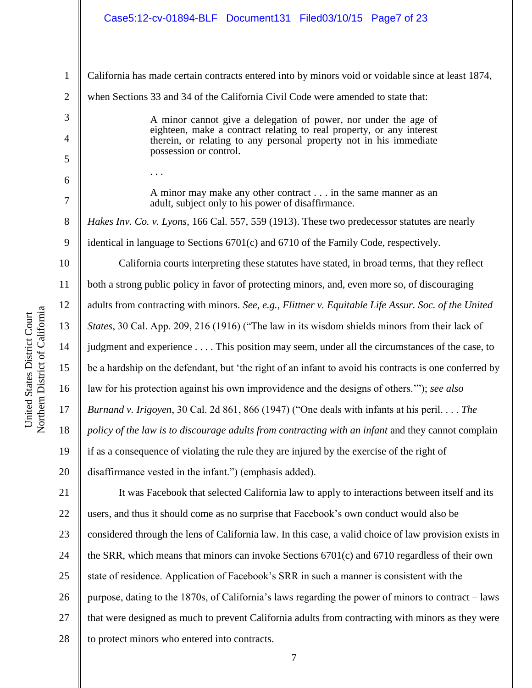# Case5:12-cv-01894-BLF Document131 Filed03/10/15 Page7 of 23

| $\mathbf{1}$        | California has made certain contracts entered into by minors void or voidable since at least 1874,                                                                                                            |
|---------------------|---------------------------------------------------------------------------------------------------------------------------------------------------------------------------------------------------------------|
| $\overline{2}$      | when Sections 33 and 34 of the California Civil Code were amended to state that:                                                                                                                              |
| 3<br>$\overline{4}$ | A minor cannot give a delegation of power, nor under the age of<br>eighteen, make a contract relating to real property, or any interest<br>therein, or relating to any personal property not in his immediate |
| 5                   | possession or control.                                                                                                                                                                                        |
| 6                   |                                                                                                                                                                                                               |
| 7                   | A minor may make any other contract in the same manner as an<br>adult, subject only to his power of disaffirmance.                                                                                            |
| 8                   | Hakes Inv. Co. v. Lyons, 166 Cal. 557, 559 (1913). These two predecessor statutes are nearly                                                                                                                  |
| 9                   | identical in language to Sections 6701(c) and 6710 of the Family Code, respectively.                                                                                                                          |
| 10                  | California courts interpreting these statutes have stated, in broad terms, that they reflect                                                                                                                  |
| 11                  | both a strong public policy in favor of protecting minors, and, even more so, of discouraging                                                                                                                 |
| 12                  | adults from contracting with minors. See, e.g., Flittner v. Equitable Life Assur. Soc. of the United                                                                                                          |
| 13                  | <i>States</i> , 30 Cal. App. 209, 216 (1916) ("The law in its wisdom shields minors from their lack of                                                                                                        |
| 14                  | judgment and experience This position may seem, under all the circumstances of the case, to                                                                                                                   |
| 15                  | be a hardship on the defendant, but 'the right of an infant to avoid his contracts is one conferred by                                                                                                        |
| 16                  | law for his protection against his own improvidence and the designs of others.""); see also                                                                                                                   |
| 17                  | Burnand v. Irigoyen, 30 Cal. 2d 861, 866 (1947) ("One deals with infants at his peril. The                                                                                                                    |
| 18                  | policy of the law is to discourage adults from contracting with an infant and they cannot complain                                                                                                            |
| 19                  | if as a consequence of violating the rule they are injured by the exercise of the right of                                                                                                                    |
| 20                  | disaffirmance vested in the infant.") (emphasis added).                                                                                                                                                       |
| 21                  | It was Facebook that selected California law to apply to interactions between itself and its                                                                                                                  |
| 22                  | users, and thus it should come as no surprise that Facebook's own conduct would also be                                                                                                                       |
| 23                  | considered through the lens of California law. In this case, a valid choice of law provision exists in                                                                                                        |
| 24                  | the SRR, which means that minors can invoke Sections 6701(c) and 6710 regardless of their own                                                                                                                 |
| 25                  | state of residence. Application of Facebook's SRR in such a manner is consistent with the                                                                                                                     |
| 26                  | purpose, dating to the 1870s, of California's laws regarding the power of minors to contract – laws                                                                                                           |
| 27                  | that were designed as much to prevent California adults from contracting with minors as they were                                                                                                             |

28 to protect minors who entered into contracts.

United States District Court<br>Northern District of California Northern District of California United States District Court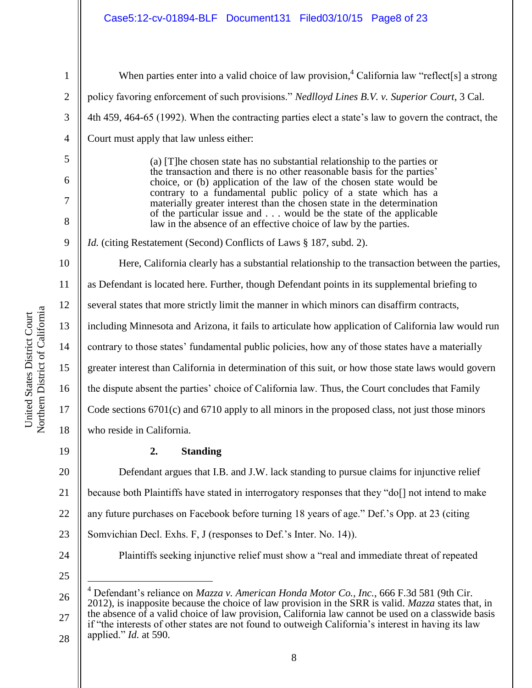## Case5:12-cv-01894-BLF Document131 Filed03/10/15 Page8 of 23

| $\mathbf{1}$   | When parties enter into a valid choice of law provision, <sup>4</sup> California law "reflect[s] a strong                                     |
|----------------|-----------------------------------------------------------------------------------------------------------------------------------------------|
| $\overline{2}$ | policy favoring enforcement of such provisions." Nedlloyd Lines B.V. v. Superior Court, 3 Cal.                                                |
| 3              | 4th 459, 464-65 (1992). When the contracting parties elect a state's law to govern the contract, the                                          |
| $\overline{4}$ | Court must apply that law unless either:                                                                                                      |
| 5              | (a) [T] he chosen state has no substantial relationship to the parties or                                                                     |
| 6              | the transaction and there is no other reasonable basis for the parties'<br>choice, or (b) application of the law of the chosen state would be |
| 7              | contrary to a fundamental public policy of a state which has a<br>materially greater interest than the chosen state in the determination      |
| 8              | of the particular issue and would be the state of the applicable<br>law in the absence of an effective choice of law by the parties.          |
| 9              | <i>Id.</i> (citing Restatement (Second) Conflicts of Laws § 187, subd. 2).                                                                    |
| 10             | Here, California clearly has a substantial relationship to the transaction between the parties,                                               |
| 11             | as Defendant is located here. Further, though Defendant points in its supplemental briefing to                                                |
| 12             | several states that more strictly limit the manner in which minors can disaffirm contracts,                                                   |
| 13             | including Minnesota and Arizona, it fails to articulate how application of California law would run                                           |
| 14             | contrary to those states' fundamental public policies, how any of those states have a materially                                              |
| 15             | greater interest than California in determination of this suit, or how those state laws would govern                                          |
| 16             | the dispute absent the parties' choice of California law. Thus, the Court concludes that Family                                               |
| 17             | Code sections $6701(c)$ and $6710$ apply to all minors in the proposed class, not just those minors                                           |
| 18             | who reside in California.                                                                                                                     |
| 19             | 2.<br><b>Standing</b>                                                                                                                         |
| 20             | Defendant argues that I.B. and J.W. lack standing to pursue claims for injunctive relief                                                      |
| 21             | because both Plaintiffs have stated in interrogatory responses that they "do[] not intend to make                                             |
|                |                                                                                                                                               |

22 any future purchases on Facebook before turning 18 years of age." Def.'s Opp. at 23 (citing

23 Somvichian Decl. Exhs. F, J (responses to Def.'s Inter. No. 14)).

24

Plaintiffs seeking injunctive relief must show a "real and immediate threat of repeated

25

 $\overline{a}$ 

26 27 28 <sup>4</sup> Defendant's reliance on *Mazza v. American Honda Motor Co., Inc.*, 666 F.3d 581 (9th Cir. 2012), is inapposite because the choice of law provision in the SRR is valid. *Mazza* states that, in the absence of a valid choice of law provision, California law cannot be used on a classwide basis if "the interests of other states are not found to outweigh California's interest in having its law applied." *Id.* at 590.

Northern District of California Northern District of California United States District Court United States District Court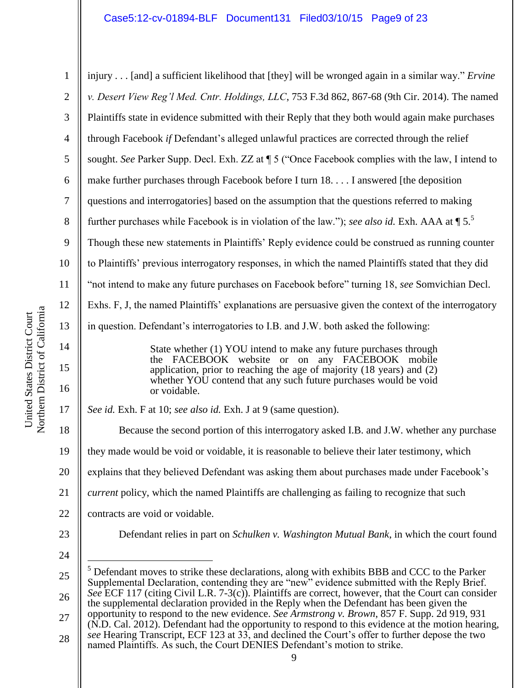## Case5:12-cv-01894-BLF Document131 Filed03/10/15 Page9 of 23

| $\mathbf{1}$   | injury [and] a sufficient likelihood that [they] will be wronged again in a similar way." Ervine                                                                                                            |
|----------------|-------------------------------------------------------------------------------------------------------------------------------------------------------------------------------------------------------------|
| $\overline{2}$ | v. Desert View Reg'l Med. Cntr. Holdings, LLC, 753 F.3d 862, 867-68 (9th Cir. 2014). The named                                                                                                              |
| 3              | Plaintiffs state in evidence submitted with their Reply that they both would again make purchases                                                                                                           |
| $\overline{4}$ | through Facebook if Defendant's alleged unlawful practices are corrected through the relief                                                                                                                 |
| 5              | sought. See Parker Supp. Decl. Exh. ZZ at ¶ 5 ("Once Facebook complies with the law, I intend to                                                                                                            |
| 6              | make further purchases through Facebook before I turn 18. I answered [the deposition                                                                                                                        |
| 7              | questions and interrogatories] based on the assumption that the questions referred to making                                                                                                                |
| 8              | further purchases while Facebook is in violation of the law."); see also id. Exh. AAA at $\P 5$ . <sup>5</sup>                                                                                              |
| 9              | Though these new statements in Plaintiffs' Reply evidence could be construed as running counter                                                                                                             |
| 10             | to Plaintiffs' previous interrogatory responses, in which the named Plaintiffs stated that they did                                                                                                         |
| 11             | "not intend to make any future purchases on Facebook before" turning 18, see Somvichian Decl.                                                                                                               |
| 12             | Exhs. F, J, the named Plaintiffs' explanations are persuasive given the context of the interrogatory                                                                                                        |
| 13             | in question. Defendant's interrogatories to I.B. and J.W. both asked the following:                                                                                                                         |
| 14             | State whether (1) YOU intend to make any future purchases through                                                                                                                                           |
| 15<br>16       | the FACEBOOK website or on any FACEBOOK mobile<br>application, prior to reaching the age of majority (18 years) and (2)<br>whether YOU contend that any such future purchases would be void<br>or voidable. |
| 17             | See id. Exh. F at 10; see also id. Exh. J at 9 (same question).                                                                                                                                             |
| 18             | Because the second portion of this interrogatory asked I.B. and J.W. whether any purchase                                                                                                                   |
| 19             | they made would be void or voidable, it is reasonable to believe their later testimony, which                                                                                                               |
| 20             | explains that they believed Defendant was asking them about purchases made under Facebook's                                                                                                                 |
| 21             | <i>current</i> policy, which the named Plaintiffs are challenging as failing to recognize that such                                                                                                         |
| 22             | contracts are void or voidable.                                                                                                                                                                             |
| 23             | Defendant relies in part on <i>Schulken v. Washington Mutual Bank</i> , in which the court found                                                                                                            |
| 24             |                                                                                                                                                                                                             |
| 25             | <sup>5</sup> Defendant moves to strike these declarations, along with exhibits BBB and CCC to the Parker<br>Supplemental Declaration, contending they are "new" evidence submitted with the Reply Brief.    |
| 26             | See ECF 117 (citing Civil L.R. 7-3(c)). Plaintiffs are correct, however, that the Court can consider<br>the supplemental declaration provided in the Reply when the Defendant has been given the            |
| 27             | opportunity to respond to the new evidence. See Armstrong v. Brown, 857 F. Supp. 2d 919, 931<br>(N.D. Cal. 2012). Defendant had the opportunity to respond to this evidence at the motion hearing,          |
| 28             | see Hearing Transcript, ECF 123 at 33, and declined the Court's offer to further depose the two<br>named Plaintiffs. As such, the Court DENIES Defendant's motion to strike.                                |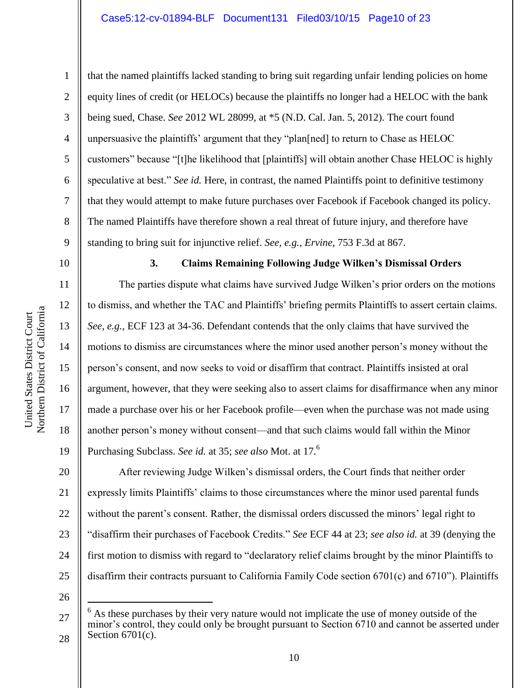4 6 7 8 9 that the named plaintiffs lacked standing to bring suit regarding unfair lending policies on home equity lines of credit (or HELOCs) because the plaintiffs no longer had a HELOC with the bank being sued, Chase. *See* 2012 WL 28099, at \*5 (N.D. Cal. Jan. 5, 2012). The court found unpersuasive the plaintiffs' argument that they "plan[ned] to return to Chase as HELOC customers" because "[t]he likelihood that [plaintiffs] will obtain another Chase HELOC is highly speculative at best." *See id.* Here, in contrast, the named Plaintiffs point to definitive testimony that they would attempt to make future purchases over Facebook if Facebook changed its policy. The named Plaintiffs have therefore shown a real threat of future injury, and therefore have standing to bring suit for injunctive relief. *See, e.g.*, *Ervine*, 753 F.3d at 867.

10

11

12

13

14

15

16

17

18

19

1

2

3

5

#### **3. Claims Remaining Following Judge Wilken's Dismissal Orders**

The parties dispute what claims have survived Judge Wilken's prior orders on the motions to dismiss, and whether the TAC and Plaintiffs' briefing permits Plaintiffs to assert certain claims. *See, e.g.*, ECF 123 at 34-36. Defendant contends that the only claims that have survived the motions to dismiss are circumstances where the minor used another person's money without the person's consent, and now seeks to void or disaffirm that contract. Plaintiffs insisted at oral argument, however, that they were seeking also to assert claims for disaffirmance when any minor made a purchase over his or her Facebook profile—even when the purchase was not made using another person's money without consent—and that such claims would fall within the Minor Purchasing Subclass. *See id.* at 35; *see also* Mot. at 17.<sup>6</sup>

20 21 22 23 24 25 After reviewing Judge Wilken's dismissal orders, the Court finds that neither order expressly limits Plaintiffs' claims to those circumstances where the minor used parental funds without the parent's consent. Rather, the dismissal orders discussed the minors' legal right to "disaffirm their purchases of Facebook Credits." *See* ECF 44 at 23; *see also id.* at 39 (denying the first motion to dismiss with regard to "declaratory relief claims brought by the minor Plaintiffs to disaffirm their contracts pursuant to California Family Code section 6701(c) and 6710"). Plaintiffs

26

 $\overline{a}$ 

<sup>27</sup> 28 As these purchases by their very nature would not implicate the use of money outside of the minor's control, they could only be brought pursuant to Section 6710 and cannot be asserted under Section 6701(c).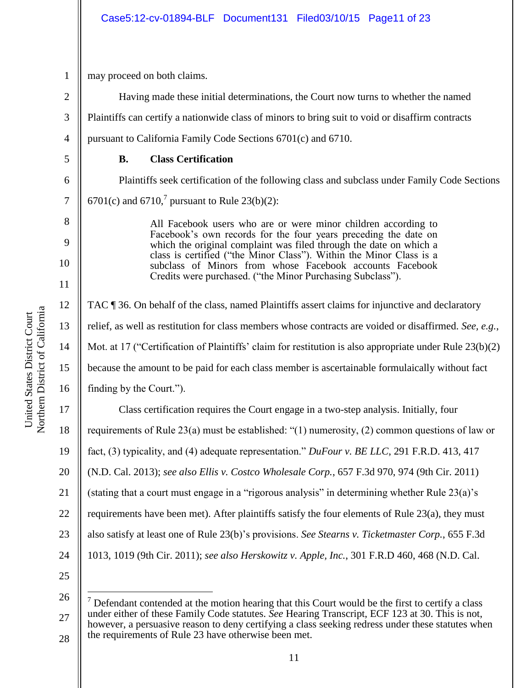may proceed on both claims.

1

2

3

4

5

6

7

8

9

10

11

12

13

14

15

Having made these initial determinations, the Court now turns to whether the named Plaintiffs can certify a nationwide class of minors to bring suit to void or disaffirm contracts pursuant to California Family Code Sections 6701(c) and 6710.

## **B. Class Certification**

Plaintiffs seek certification of the following class and subclass under Family Code Sections 6701(c) and 6710,<sup>7</sup> pursuant to Rule 23(b)(2):

> All Facebook users who are or were minor children according to Facebook's own records for the four years preceding the date on which the original complaint was filed through the date on which a class is certified ("the Minor Class"). Within the Minor Class is a subclass of Minors from whose Facebook accounts Facebook Credits were purchased. ("the Minor Purchasing Subclass").

16 TAC ¶ 36. On behalf of the class, named Plaintiffs assert claims for injunctive and declaratory relief, as well as restitution for class members whose contracts are voided or disaffirmed. *See, e.g.*, Mot. at 17 ("Certification of Plaintiffs' claim for restitution is also appropriate under Rule 23(b)(2) because the amount to be paid for each class member is ascertainable formulaically without fact finding by the Court.").

17 18 19 20 21 22 23 24 25 Class certification requires the Court engage in a two-step analysis. Initially, four requirements of Rule 23(a) must be established: "(1) numerosity, (2) common questions of law or fact, (3) typicality, and (4) adequate representation." *DuFour v. BE LLC*, 291 F.R.D. 413, 417 (N.D. Cal. 2013); *see also Ellis v. Costco Wholesale Corp.*, 657 F.3d 970, 974 (9th Cir. 2011) (stating that a court must engage in a "rigorous analysis" in determining whether Rule 23(a)'s requirements have been met). After plaintiffs satisfy the four elements of Rule 23(a), they must also satisfy at least one of Rule 23(b)'s provisions. *See Stearns v. Ticketmaster Corp.*, 655 F.3d 1013, 1019 (9th Cir. 2011); *see also Herskowitz v. Apple, Inc.*, 301 F.R.D 460, 468 (N.D. Cal.

26

 $\overline{a}$ 

<sup>27</sup> 28  $<sup>7</sup>$  Defendant contended at the motion hearing that this Court would be the first to certify a class</sup> under either of these Family Code statutes. *See* Hearing Transcript, ECF 123 at 30. This is not, however, a persuasive reason to deny certifying a class seeking redress under these statutes when the requirements of Rule 23 have otherwise been met.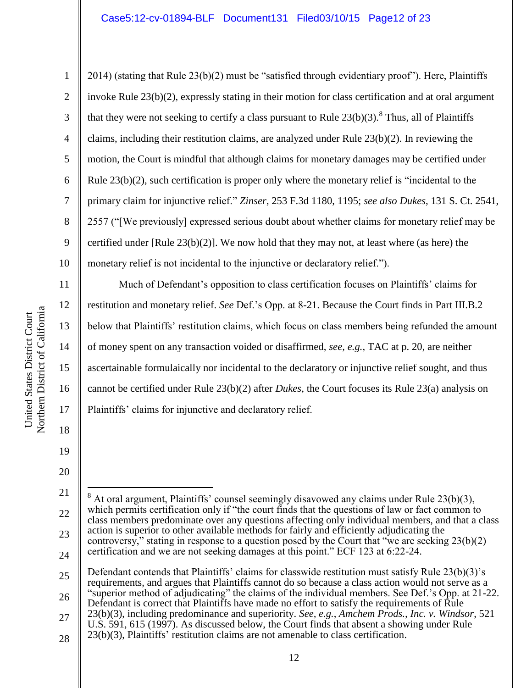2014) (stating that Rule 23(b)(2) must be "satisfied through evidentiary proof"). Here, Plaintiffs invoke Rule 23(b)(2), expressly stating in their motion for class certification and at oral argument that they were not seeking to certify a class pursuant to Rule  $23(b)(3)$ .<sup>8</sup> Thus, all of Plaintiffs claims, including their restitution claims, are analyzed under Rule 23(b)(2). In reviewing the motion, the Court is mindful that although claims for monetary damages may be certified under Rule  $23(b)(2)$ , such certification is proper only where the monetary relief is "incidental to the primary claim for injunctive relief." *Zinser*, 253 F.3d 1180, 1195; *see also Dukes*, 131 S. Ct. 2541, 2557 ("[We previously] expressed serious doubt about whether claims for monetary relief may be certified under [Rule 23(b)(2)]. We now hold that they may not, at least where (as here) the monetary relief is not incidental to the injunctive or declaratory relief.").

Much of Defendant's opposition to class certification focuses on Plaintiffs' claims for restitution and monetary relief. *See* Def.'s Opp. at 8-21. Because the Court finds in Part III.B.2 below that Plaintiffs' restitution claims, which focus on class members being refunded the amount of money spent on any transaction voided or disaffirmed, *see, e.g.*, TAC at p. 20, are neither ascertainable formulaically nor incidental to the declaratory or injunctive relief sought, and thus cannot be certified under Rule 23(b)(2) after *Dukes*, the Court focuses its Rule 23(a) analysis on Plaintiffs' claims for injunctive and declaratory relief.

27

1

2

3

4

5

6

7

8

9

10

11

12

13

14

15

16

17

18

19

<sup>21</sup> 22 23 24  $\overline{a}$  $8$  At oral argument, Plaintiffs' counsel seemingly disavowed any claims under Rule 23(b)(3), which permits certification only if "the court finds that the questions of law or fact common to class members predominate over any questions affecting only individual members, and that a class action is superior to other available methods for fairly and efficiently adjudicating the controversy," stating in response to a question posed by the Court that "we are seeking  $23(b)(2)$ certification and we are not seeking damages at this point." ECF 123 at 6:22-24.

<sup>25</sup> 26 Defendant contends that Plaintiffs' claims for classwide restitution must satisfy Rule 23(b)(3)'s requirements, and argues that Plaintiffs cannot do so because a class action would not serve as a "superior method of adjudicating" the claims of the individual members. See Def.'s Opp. at 21-22. Defendant is correct that Plaintiffs have made no effort to satisfy the requirements of Rule

<sup>23(</sup>b)(3), including predominance and superiority. *See, e.g.*, *Amchem Prods., Inc. v. Windsor*, 521 U.S. 591, 615 (1997). As discussed below, the Court finds that absent a showing under Rule

<sup>23(</sup>b)(3), Plaintiffs' restitution claims are not amenable to class certification.

<sup>28</sup>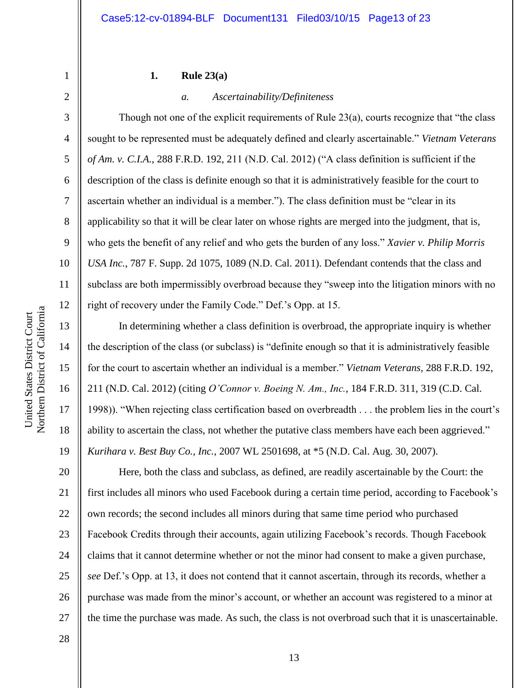#### **1. Rule 23(a)**

#### *a. Ascertainability/Definiteness*

Though not one of the explicit requirements of Rule 23(a), courts recognize that "the class sought to be represented must be adequately defined and clearly ascertainable." *Vietnam Veterans of Am. v. C.I.A.*, 288 F.R.D. 192, 211 (N.D. Cal. 2012) ("A class definition is sufficient if the description of the class is definite enough so that it is administratively feasible for the court to ascertain whether an individual is a member."). The class definition must be "clear in its applicability so that it will be clear later on whose rights are merged into the judgment, that is, who gets the benefit of any relief and who gets the burden of any loss." *Xavier v. Philip Morris USA Inc.*, 787 F. Supp. 2d 1075, 1089 (N.D. Cal. 2011). Defendant contends that the class and subclass are both impermissibly overbroad because they "sweep into the litigation minors with no right of recovery under the Family Code." Def.'s Opp. at 15.

In determining whether a class definition is overbroad, the appropriate inquiry is whether the description of the class (or subclass) is "definite enough so that it is administratively feasible for the court to ascertain whether an individual is a member." *Vietnam Veterans*, 288 F.R.D. 192, 211 (N.D. Cal. 2012) (citing *O'Connor v. Boeing N. Am., Inc.*, 184 F.R.D. 311, 319 (C.D. Cal. 1998)). "When rejecting class certification based on overbreadth . . . the problem lies in the court's ability to ascertain the class, not whether the putative class members have each been aggrieved." *Kurihara v. Best Buy Co., Inc.*, 2007 WL 2501698, at \*5 (N.D. Cal. Aug. 30, 2007).

20 21 22 23 24 25 26 27 Here, both the class and subclass, as defined, are readily ascertainable by the Court: the first includes all minors who used Facebook during a certain time period, according to Facebook's own records; the second includes all minors during that same time period who purchased Facebook Credits through their accounts, again utilizing Facebook's records. Though Facebook claims that it cannot determine whether or not the minor had consent to make a given purchase, *see* Def.'s Opp. at 13, it does not contend that it cannot ascertain, through its records, whether a purchase was made from the minor's account, or whether an account was registered to a minor at the time the purchase was made. As such, the class is not overbroad such that it is unascertainable.

Northern District of California Northern District of California United States District Court United States District Court

1

2

3

4

5

6

7

8

9

10

11

12

13

14

15

16

17

18

19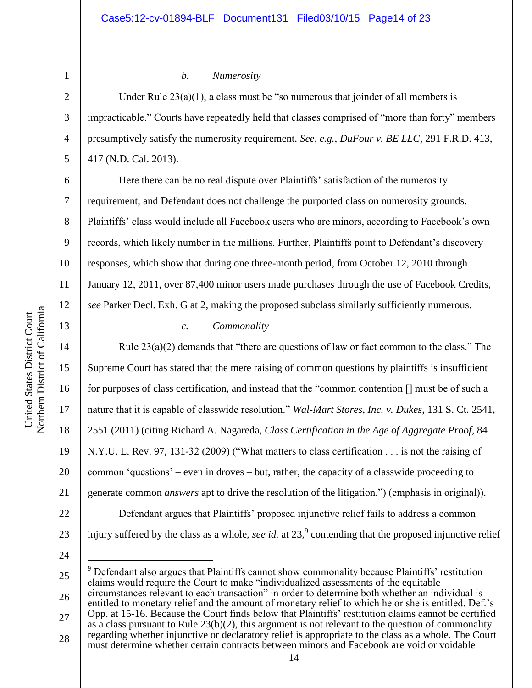1 2

3

4

5

6

7

8

9

10

11

12

13

14

15

16

17

18

19

20

21

22

## *b. Numerosity*

Under Rule  $23(a)(1)$ , a class must be "so numerous that joinder of all members is impracticable." Courts have repeatedly held that classes comprised of "more than forty" members presumptively satisfy the numerosity requirement. *See, e.g.*, *DuFour v. BE LLC*, 291 F.R.D. 413, 417 (N.D. Cal. 2013).

Here there can be no real dispute over Plaintiffs' satisfaction of the numerosity requirement, and Defendant does not challenge the purported class on numerosity grounds. Plaintiffs' class would include all Facebook users who are minors, according to Facebook's own records, which likely number in the millions. Further, Plaintiffs point to Defendant's discovery responses, which show that during one three-month period, from October 12, 2010 through January 12, 2011, over 87,400 minor users made purchases through the use of Facebook Credits, *see* Parker Decl. Exh. G at 2, making the proposed subclass similarly sufficiently numerous.

## *c. Commonality*

Rule  $23(a)(2)$  demands that "there are questions of law or fact common to the class." The Supreme Court has stated that the mere raising of common questions by plaintiffs is insufficient for purposes of class certification, and instead that the "common contention [] must be of such a nature that it is capable of classwide resolution." *Wal-Mart Stores, Inc. v. Dukes*, 131 S. Ct. 2541, 2551 (2011) (citing Richard A. Nagareda, *Class Certification in the Age of Aggregate Proof*, 84 N.Y.U. L. Rev. 97, 131-32 (2009) ("What matters to class certification . . . is not the raising of common 'questions' – even in droves – but, rather, the capacity of a classwide proceeding to generate common *answers* apt to drive the resolution of the litigation.") (emphasis in original)). Defendant argues that Plaintiffs' proposed injunctive relief fails to address a common injury suffered by the class as a whole, *see id.* at  $23$ ,  $\degree$  contending that the proposed injunctive relief

24

 $\overline{a}$ 

25

23

<sup>9</sup> Defendant also argues that Plaintiffs cannot show commonality because Plaintiffs' restitution claims would require the Court to make "individualized assessments of the equitable

26 27 28 circumstances relevant to each transaction" in order to determine both whether an individual is entitled to monetary relief and the amount of monetary relief to which he or she is entitled. Def.'s Opp. at 15-16. Because the Court finds below that Plaintiffs' restitution claims cannot be certified as a class pursuant to Rule  $23(b)(2)$ , this argument is not relevant to the question of commonality regarding whether injunctive or declaratory relief is appropriate to the class as a whole. The Court must determine whether certain contracts between minors and Facebook are void or voidable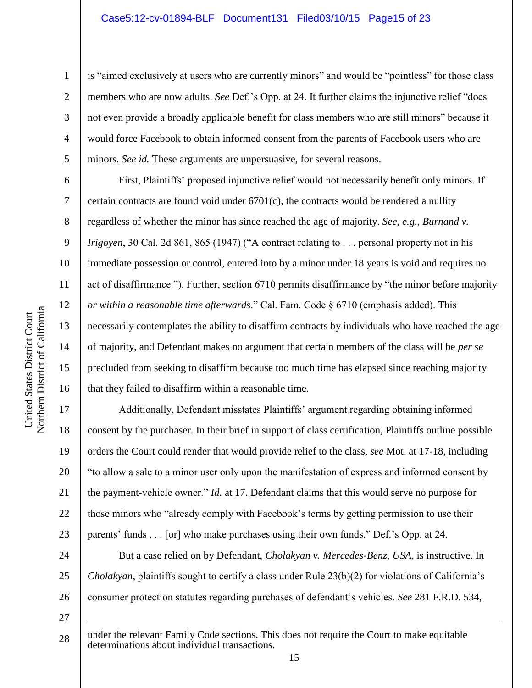is "aimed exclusively at users who are currently minors" and would be "pointless" for those class members who are now adults. *See* Def.'s Opp. at 24. It further claims the injunctive relief "does not even provide a broadly applicable benefit for class members who are still minors" because it would force Facebook to obtain informed consent from the parents of Facebook users who are minors. *See id.* These arguments are unpersuasive, for several reasons.

First, Plaintiffs' proposed injunctive relief would not necessarily benefit only minors. If certain contracts are found void under  $6701(c)$ , the contracts would be rendered a nullity regardless of whether the minor has since reached the age of majority. *See, e.g.*, *Burnand v. Irigoyen*, 30 Cal. 2d 861, 865 (1947) ("A contract relating to . . . personal property not in his immediate possession or control, entered into by a minor under 18 years is void and requires no act of disaffirmance."). Further, section 6710 permits disaffirmance by "the minor before majority *or within a reasonable time afterwards*." Cal. Fam. Code § 6710 (emphasis added). This necessarily contemplates the ability to disaffirm contracts by individuals who have reached the age of majority, and Defendant makes no argument that certain members of the class will be *per se* precluded from seeking to disaffirm because too much time has elapsed since reaching majority that they failed to disaffirm within a reasonable time.

Additionally, Defendant misstates Plaintiffs' argument regarding obtaining informed consent by the purchaser. In their brief in support of class certification, Plaintiffs outline possible orders the Court could render that would provide relief to the class, *see* Mot. at 17-18, including "to allow a sale to a minor user only upon the manifestation of express and informed consent by the payment-vehicle owner." *Id.* at 17. Defendant claims that this would serve no purpose for those minors who "already comply with Facebook's terms by getting permission to use their parents' funds . . . [or] who make purchases using their own funds." Def.'s Opp. at 24.

But a case relied on by Defendant, *Cholakyan v. Mercedes-Benz, USA*, is instructive. In *Cholakyan*, plaintiffs sought to certify a class under Rule 23(b)(2) for violations of California's consumer protection statutes regarding purchases of defendant's vehicles. *See* 281 F.R.D. 534,

28 under the relevant Family Code sections. This does not require the Court to make equitable determinations about individual transactions.

1

2

3

4

5

6

7

8

9

10

11

12

13

14

15

16

17

18

19

20

21

22

23

24

25

26

27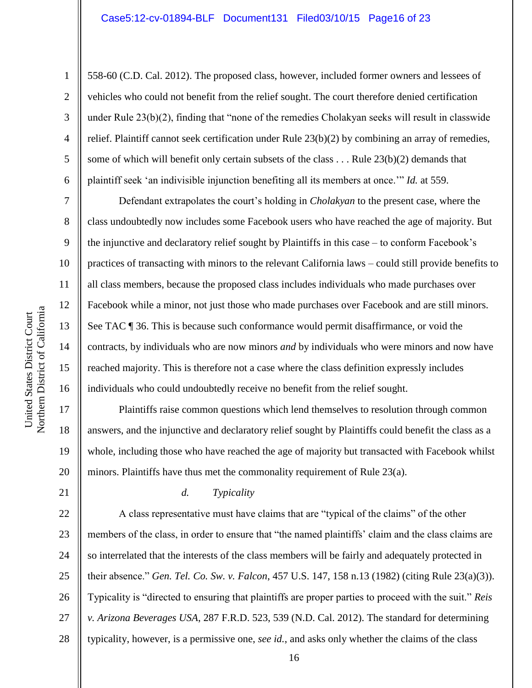558-60 (C.D. Cal. 2012). The proposed class, however, included former owners and lessees of vehicles who could not benefit from the relief sought. The court therefore denied certification under Rule 23(b)(2), finding that "none of the remedies Cholakyan seeks will result in classwide relief. Plaintiff cannot seek certification under Rule 23(b)(2) by combining an array of remedies, some of which will benefit only certain subsets of the class  $\dots$  Rule 23(b)(2) demands that plaintiff seek 'an indivisible injunction benefiting all its members at once.'" *Id.* at 559.

Defendant extrapolates the court's holding in *Cholakyan* to the present case, where the class undoubtedly now includes some Facebook users who have reached the age of majority. But the injunctive and declaratory relief sought by Plaintiffs in this case – to conform Facebook's practices of transacting with minors to the relevant California laws – could still provide benefits to all class members, because the proposed class includes individuals who made purchases over Facebook while a minor, not just those who made purchases over Facebook and are still minors. See TAC ¶ 36. This is because such conformance would permit disaffirmance, or void the contracts, by individuals who are now minors *and* by individuals who were minors and now have reached majority. This is therefore not a case where the class definition expressly includes individuals who could undoubtedly receive no benefit from the relief sought.

Plaintiffs raise common questions which lend themselves to resolution through common answers, and the injunctive and declaratory relief sought by Plaintiffs could benefit the class as a whole, including those who have reached the age of majority but transacted with Facebook whilst minors. Plaintiffs have thus met the commonality requirement of Rule 23(a).

21

1

2

3

4

5

6

7

8

9

10

11

12

13

14

15

16

17

18

19

20

#### *d. Typicality*

22 23 24 25 26 27 28 A class representative must have claims that are "typical of the claims" of the other members of the class, in order to ensure that "the named plaintiffs' claim and the class claims are so interrelated that the interests of the class members will be fairly and adequately protected in their absence." *Gen. Tel. Co. Sw. v. Falcon*, 457 U.S. 147, 158 n.13 (1982) (citing Rule 23(a)(3)). Typicality is "directed to ensuring that plaintiffs are proper parties to proceed with the suit." *Reis v. Arizona Beverages USA*, 287 F.R.D. 523, 539 (N.D. Cal. 2012). The standard for determining typicality, however, is a permissive one, *see id.*, and asks only whether the claims of the class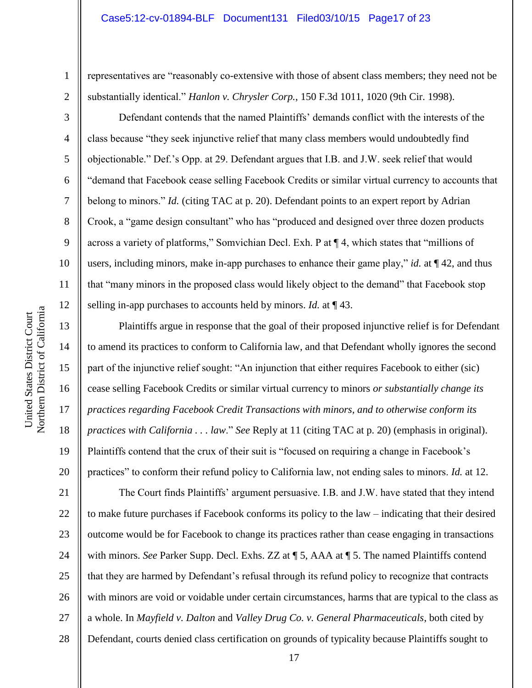#### Case5:12-cv-01894-BLF Document131 Filed03/10/15 Page17 of 23

representatives are "reasonably co-extensive with those of absent class members; they need not be substantially identical." *Hanlon v. Chrysler Corp.*, 150 F.3d 1011, 1020 (9th Cir. 1998).

Defendant contends that the named Plaintiffs' demands conflict with the interests of the class because "they seek injunctive relief that many class members would undoubtedly find objectionable." Def.'s Opp. at 29. Defendant argues that I.B. and J.W. seek relief that would "demand that Facebook cease selling Facebook Credits or similar virtual currency to accounts that belong to minors." *Id.* (citing TAC at p. 20). Defendant points to an expert report by Adrian Crook, a "game design consultant" who has "produced and designed over three dozen products across a variety of platforms," Somvichian Decl. Exh. P at ¶ 4, which states that "millions of users, including minors, make in-app purchases to enhance their game play," *id.* at ¶ 42, and thus that "many minors in the proposed class would likely object to the demand" that Facebook stop selling in-app purchases to accounts held by minors. *Id.* at ¶ 43.

Plaintiffs argue in response that the goal of their proposed injunctive relief is for Defendant to amend its practices to conform to California law, and that Defendant wholly ignores the second part of the injunctive relief sought: "An injunction that either requires Facebook to either (sic) cease selling Facebook Credits or similar virtual currency to minors *or substantially change its practices regarding Facebook Credit Transactions with minors, and to otherwise conform its practices with California . . . law*." *See* Reply at 11 (citing TAC at p. 20) (emphasis in original). Plaintiffs contend that the crux of their suit is "focused on requiring a change in Facebook's practices" to conform their refund policy to California law, not ending sales to minors. *Id.* at 12.

21 22 23 24 25 26 27 28 The Court finds Plaintiffs' argument persuasive. I.B. and J.W. have stated that they intend to make future purchases if Facebook conforms its policy to the law – indicating that their desired outcome would be for Facebook to change its practices rather than cease engaging in transactions with minors. *See* Parker Supp. Decl. Exhs. ZZ at ¶ 5, AAA at ¶ 5. The named Plaintiffs contend that they are harmed by Defendant's refusal through its refund policy to recognize that contracts with minors are void or voidable under certain circumstances, harms that are typical to the class as a whole. In *Mayfield v. Dalton* and *Valley Drug Co. v. General Pharmaceuticals*, both cited by Defendant, courts denied class certification on grounds of typicality because Plaintiffs sought to

1

2

3

4

5

6

7

8

9

10

11

12

13

14

15

16

17

18

19

20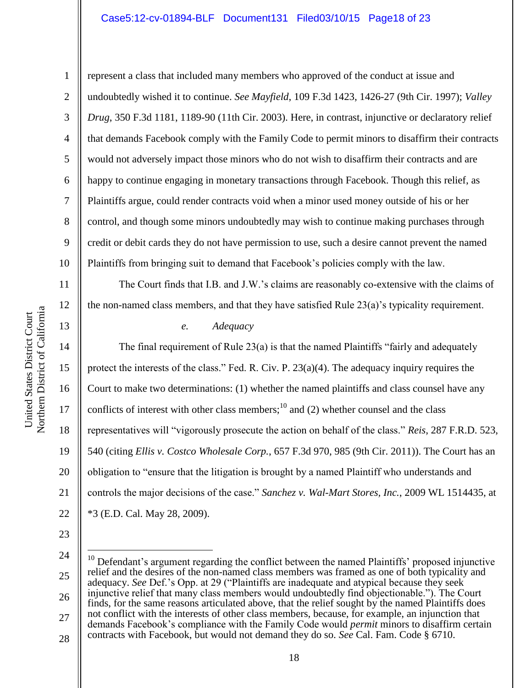## Case5:12-cv-01894-BLF Document131 Filed03/10/15 Page18 of 23

represent a class that included many members who approved of the conduct at issue and undoubtedly wished it to continue. *See Mayfield*, 109 F.3d 1423, 1426-27 (9th Cir. 1997); *Valley Drug*, 350 F.3d 1181, 1189-90 (11th Cir. 2003). Here, in contrast, injunctive or declaratory relief that demands Facebook comply with the Family Code to permit minors to disaffirm their contracts would not adversely impact those minors who do not wish to disaffirm their contracts and are happy to continue engaging in monetary transactions through Facebook. Though this relief, as Plaintiffs argue, could render contracts void when a minor used money outside of his or her control, and though some minors undoubtedly may wish to continue making purchases through credit or debit cards they do not have permission to use, such a desire cannot prevent the named Plaintiffs from bringing suit to demand that Facebook's policies comply with the law.

The Court finds that I.B. and J.W.'s claims are reasonably co-extensive with the claims of the non-named class members, and that they have satisfied Rule 23(a)'s typicality requirement.

## *e. Adequacy*

The final requirement of Rule 23(a) is that the named Plaintiffs "fairly and adequately protect the interests of the class." Fed. R. Civ. P. 23(a)(4). The adequacy inquiry requires the Court to make two determinations: (1) whether the named plaintiffs and class counsel have any conflicts of interest with other class members;<sup>10</sup> and (2) whether counsel and the class representatives will "vigorously prosecute the action on behalf of the class." *Reis*, 287 F.R.D. 523, 540 (citing *Ellis v. Costco Wholesale Corp.*, 657 F.3d 970, 985 (9th Cir. 2011)). The Court has an obligation to "ensure that the litigation is brought by a named Plaintiff who understands and controls the major decisions of the case." *Sanchez v. Wal-Mart Stores, Inc.*, 2009 WL 1514435, at \*3 (E.D. Cal. May 28, 2009).

23

 $\overline{a}$ 

27 28 not conflict with the interests of other class members, because, for example, an injunction that demands Facebook's compliance with the Family Code would *permit* minors to disaffirm certain contracts with Facebook, but would not demand they do so. *See* Cal. Fam. Code § 6710.

1

2

3

4

5

6

7

8

9

10

11

12

13

14

15

16

17

18

19

20

21

22

<sup>24</sup> 25 26  $10$  Defendant's argument regarding the conflict between the named Plaintiffs' proposed injunctive relief and the desires of the non-named class members was framed as one of both typicality and adequacy. *See* Def.'s Opp. at 29 ("Plaintiffs are inadequate and atypical because they seek injunctive relief that many class members would undoubtedly find objectionable."). The Court finds, for the same reasons articulated above, that the relief sought by the named Plaintiffs does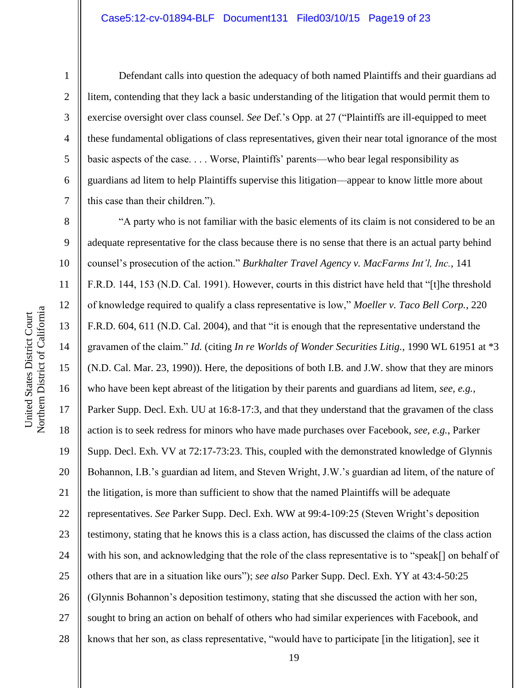6

7

1

Defendant calls into question the adequacy of both named Plaintiffs and their guardians ad litem, contending that they lack a basic understanding of the litigation that would permit them to exercise oversight over class counsel. *See* Def.'s Opp. at 27 ("Plaintiffs are ill-equipped to meet these fundamental obligations of class representatives, given their near total ignorance of the most basic aspects of the case. . . . Worse, Plaintiffs' parents—who bear legal responsibility as guardians ad litem to help Plaintiffs supervise this litigation—appear to know little more about this case than their children.").

8 9 10 11 12 13 14 15 16 17 18 19 20 21 22 23 24 25 26 27 28 "A party who is not familiar with the basic elements of its claim is not considered to be an adequate representative for the class because there is no sense that there is an actual party behind counsel's prosecution of the action." *Burkhalter Travel Agency v. MacFarms Int'l, Inc.*, 141 F.R.D. 144, 153 (N.D. Cal. 1991). However, courts in this district have held that "[t]he threshold of knowledge required to qualify a class representative is low," *Moeller v. Taco Bell Corp.*, 220 F.R.D. 604, 611 (N.D. Cal. 2004), and that "it is enough that the representative understand the gravamen of the claim." *Id.* (citing *In re Worlds of Wonder Securities Litig.*, 1990 WL 61951 at \*3 (N.D. Cal. Mar. 23, 1990)). Here, the depositions of both I.B. and J.W. show that they are minors who have been kept abreast of the litigation by their parents and guardians ad litem, *see, e.g.*, Parker Supp. Decl. Exh. UU at 16:8-17:3, and that they understand that the gravamen of the class action is to seek redress for minors who have made purchases over Facebook, *see, e.g.*, Parker Supp. Decl. Exh. VV at 72:17-73:23. This, coupled with the demonstrated knowledge of Glynnis Bohannon, I.B.'s guardian ad litem, and Steven Wright, J.W.'s guardian ad litem, of the nature of the litigation, is more than sufficient to show that the named Plaintiffs will be adequate representatives. *See* Parker Supp. Decl. Exh. WW at 99:4-109:25 (Steven Wright's deposition testimony, stating that he knows this is a class action, has discussed the claims of the class action with his son, and acknowledging that the role of the class representative is to "speak[] on behalf of others that are in a situation like ours"); *see also* Parker Supp. Decl. Exh. YY at 43:4-50:25 (Glynnis Bohannon's deposition testimony, stating that she discussed the action with her son, sought to bring an action on behalf of others who had similar experiences with Facebook, and knows that her son, as class representative, "would have to participate [in the litigation], see it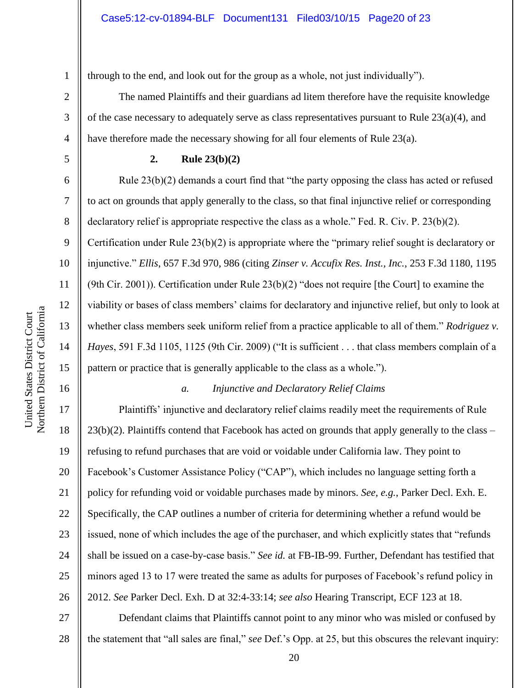1 through to the end, and look out for the group as a whole, not just individually").

The named Plaintiffs and their guardians ad litem therefore have the requisite knowledge of the case necessary to adequately serve as class representatives pursuant to Rule 23(a)(4), and have therefore made the necessary showing for all four elements of Rule 23(a).

2

3

4

5

6

7

8

9

10

11

12

13

14

15

16

17

18

19

20

21

22

23

24

25

26

## **2. Rule 23(b)(2)**

Rule 23(b)(2) demands a court find that "the party opposing the class has acted or refused to act on grounds that apply generally to the class, so that final injunctive relief or corresponding declaratory relief is appropriate respective the class as a whole." Fed. R. Civ. P. 23(b)(2). Certification under Rule 23(b)(2) is appropriate where the "primary relief sought is declaratory or injunctive." *Ellis*, 657 F.3d 970, 986 (citing *Zinser v. Accufix Res. Inst., Inc.*, 253 F.3d 1180, 1195 (9th Cir. 2001)). Certification under Rule 23(b)(2) "does not require [the Court] to examine the viability or bases of class members' claims for declaratory and injunctive relief, but only to look at whether class members seek uniform relief from a practice applicable to all of them." *Rodriguez v. Hayes*, 591 F.3d 1105, 1125 (9th Cir. 2009) ("It is sufficient . . . that class members complain of a pattern or practice that is generally applicable to the class as a whole.").

## *a. Injunctive and Declaratory Relief Claims*

Plaintiffs' injunctive and declaratory relief claims readily meet the requirements of Rule  $23(b)(2)$ . Plaintiffs contend that Facebook has acted on grounds that apply generally to the class – refusing to refund purchases that are void or voidable under California law. They point to Facebook's Customer Assistance Policy ("CAP"), which includes no language setting forth a policy for refunding void or voidable purchases made by minors. *See, e.g.*, Parker Decl. Exh. E. Specifically, the CAP outlines a number of criteria for determining whether a refund would be issued, none of which includes the age of the purchaser, and which explicitly states that "refunds shall be issued on a case-by-case basis." *See id.* at FB-IB-99. Further, Defendant has testified that minors aged 13 to 17 were treated the same as adults for purposes of Facebook's refund policy in 2012. *See* Parker Decl. Exh. D at 32:4-33:14; *see also* Hearing Transcript, ECF 123 at 18.

27 28 Defendant claims that Plaintiffs cannot point to any minor who was misled or confused by the statement that "all sales are final," *see* Def.'s Opp. at 25, but this obscures the relevant inquiry: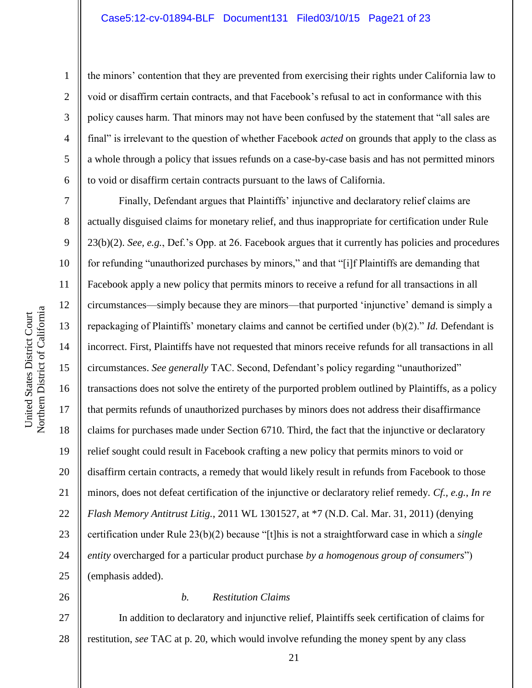the minors' contention that they are prevented from exercising their rights under California law to void or disaffirm certain contracts, and that Facebook's refusal to act in conformance with this policy causes harm. That minors may not have been confused by the statement that "all sales are final" is irrelevant to the question of whether Facebook *acted* on grounds that apply to the class as a whole through a policy that issues refunds on a case-by-case basis and has not permitted minors to void or disaffirm certain contracts pursuant to the laws of California.

Finally, Defendant argues that Plaintiffs' injunctive and declaratory relief claims are actually disguised claims for monetary relief, and thus inappropriate for certification under Rule 23(b)(2). *See, e.g.*, Def.'s Opp. at 26. Facebook argues that it currently has policies and procedures for refunding "unauthorized purchases by minors," and that "[i]f Plaintiffs are demanding that Facebook apply a new policy that permits minors to receive a refund for all transactions in all circumstances—simply because they are minors—that purported 'injunctive' demand is simply a repackaging of Plaintiffs' monetary claims and cannot be certified under (b)(2)." *Id.* Defendant is incorrect. First, Plaintiffs have not requested that minors receive refunds for all transactions in all circumstances. *See generally* TAC. Second, Defendant's policy regarding "unauthorized" transactions does not solve the entirety of the purported problem outlined by Plaintiffs, as a policy that permits refunds of unauthorized purchases by minors does not address their disaffirmance claims for purchases made under Section 6710. Third, the fact that the injunctive or declaratory relief sought could result in Facebook crafting a new policy that permits minors to void or disaffirm certain contracts, a remedy that would likely result in refunds from Facebook to those minors, does not defeat certification of the injunctive or declaratory relief remedy. *Cf., e.g.*, *In re Flash Memory Antitrust Litig.*, 2011 WL 1301527, at \*7 (N.D. Cal. Mar. 31, 2011) (denying certification under Rule 23(b)(2) because "[t]his is not a straightforward case in which a *single entity* overcharged for a particular product purchase *by a homogenous group of consumers*") (emphasis added).

26

## *b. Restitution Claims*

27 28 In addition to declaratory and injunctive relief, Plaintiffs seek certification of claims for restitution, *see* TAC at p. 20, which would involve refunding the money spent by any class

1

2

3

4

5

6

7

8

9

10

11

12

13

14

15

16

17

18

19

20

21

22

23

24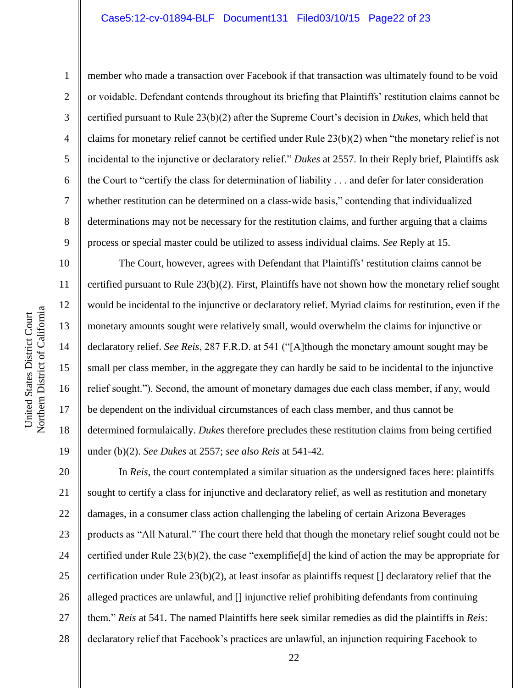#### Case5:12-cv-01894-BLF Document131 Filed03/10/15 Page22 of 23

Northern District of California Northern District of California United States District Court United States District Court

10

11

12

13

14

15

16

17

18

19

1 2 3 4 5 6 7 8 9 member who made a transaction over Facebook if that transaction was ultimately found to be void or voidable. Defendant contends throughout its briefing that Plaintiffs' restitution claims cannot be certified pursuant to Rule 23(b)(2) after the Supreme Court's decision in *Dukes*, which held that claims for monetary relief cannot be certified under Rule 23(b)(2) when "the monetary relief is not incidental to the injunctive or declaratory relief." *Dukes* at 2557. In their Reply brief, Plaintiffs ask the Court to "certify the class for determination of liability . . . and defer for later consideration whether restitution can be determined on a class-wide basis," contending that individualized determinations may not be necessary for the restitution claims, and further arguing that a claims process or special master could be utilized to assess individual claims. *See* Reply at 15.

The Court, however, agrees with Defendant that Plaintiffs' restitution claims cannot be certified pursuant to Rule 23(b)(2). First, Plaintiffs have not shown how the monetary relief sought would be incidental to the injunctive or declaratory relief. Myriad claims for restitution, even if the monetary amounts sought were relatively small, would overwhelm the claims for injunctive or declaratory relief. *See Reis*, 287 F.R.D. at 541 ("[A]though the monetary amount sought may be small per class member, in the aggregate they can hardly be said to be incidental to the injunctive relief sought."). Second, the amount of monetary damages due each class member, if any, would be dependent on the individual circumstances of each class member, and thus cannot be determined formulaically. *Dukes* therefore precludes these restitution claims from being certified under (b)(2). *See Dukes* at 2557; *see also Reis* at 541-42.

20 21 22 23 24 25 26 27 28 In *Reis*, the court contemplated a similar situation as the undersigned faces here: plaintiffs sought to certify a class for injunctive and declaratory relief, as well as restitution and monetary damages, in a consumer class action challenging the labeling of certain Arizona Beverages products as "All Natural." The court there held that though the monetary relief sought could not be certified under Rule  $23(b)(2)$ , the case "exemplified] the kind of action the may be appropriate for certification under Rule 23(b)(2), at least insofar as plaintiffs request [] declaratory relief that the alleged practices are unlawful, and [] injunctive relief prohibiting defendants from continuing them." *Reis* at 541. The named Plaintiffs here seek similar remedies as did the plaintiffs in *Reis*: declaratory relief that Facebook's practices are unlawful, an injunction requiring Facebook to